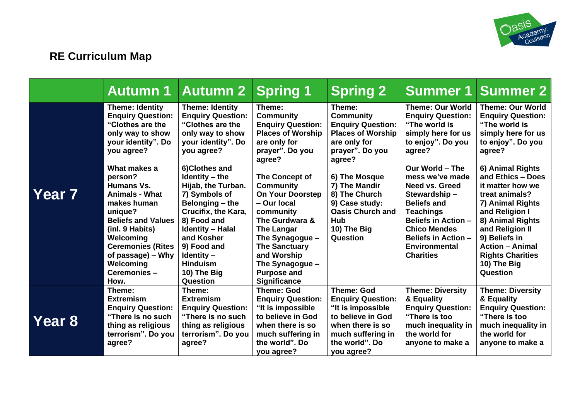

# **RE Curriculum Map**

|        |                                                                                                                                                                                                                                                                                                                                                                                     | <b>Autumn 1 Autumn 2</b>                                                                                                                                                                                                                                                                                                                                                                         | <b>Spring 1</b>                                                                                                                                                                                                                                                                                                                                                                               | <b>Spring 2</b>                                                                                                                                                                                                                                                   | Summer 1                                                                                                                                                                                                                                                                                                                                                                   | <b>Summer 2</b>                                                                                                                                                                                                                                                                                                                                                                        |
|--------|-------------------------------------------------------------------------------------------------------------------------------------------------------------------------------------------------------------------------------------------------------------------------------------------------------------------------------------------------------------------------------------|--------------------------------------------------------------------------------------------------------------------------------------------------------------------------------------------------------------------------------------------------------------------------------------------------------------------------------------------------------------------------------------------------|-----------------------------------------------------------------------------------------------------------------------------------------------------------------------------------------------------------------------------------------------------------------------------------------------------------------------------------------------------------------------------------------------|-------------------------------------------------------------------------------------------------------------------------------------------------------------------------------------------------------------------------------------------------------------------|----------------------------------------------------------------------------------------------------------------------------------------------------------------------------------------------------------------------------------------------------------------------------------------------------------------------------------------------------------------------------|----------------------------------------------------------------------------------------------------------------------------------------------------------------------------------------------------------------------------------------------------------------------------------------------------------------------------------------------------------------------------------------|
| Year 7 | <b>Theme: Identity</b><br><b>Enquiry Question:</b><br>"Clothes are the<br>only way to show<br>your identity". Do<br>you agree?<br>What makes a<br>person?<br><b>Humans Vs.</b><br><b>Animals - What</b><br>makes human<br>unique?<br><b>Beliefs and Values</b><br>(inl. 9 Habits)<br>Welcoming<br><b>Ceremonies (Rites</b><br>of passage) – Why<br>Welcoming<br>Ceremonies-<br>How. | <b>Theme: Identity</b><br><b>Enquiry Question:</b><br>"Clothes are the<br>only way to show<br>your identity". Do<br>you agree?<br>6)Clothes and<br>Identity $-$ the<br>Hijab, the Turban.<br>7) Symbols of<br>Belonging - the<br>Crucifix, the Kara,<br>8) Food and<br><b>Identity - Halal</b><br>and Kosher<br>9) Food and<br>Identity $-$<br><b>Hinduism</b><br>10) The Big<br><b>Question</b> | Theme:<br><b>Community</b><br><b>Enquiry Question:</b><br><b>Places of Worship</b><br>are only for<br>prayer". Do you<br>agree?<br>The Concept of<br><b>Community</b><br><b>On Your Doorstep</b><br>- Our local<br>community<br>The Gurdwara &<br><b>The Langar</b><br>The Synagogue -<br><b>The Sanctuary</b><br>and Worship<br>The Synagogue -<br><b>Purpose and</b><br><b>Significance</b> | Theme:<br><b>Community</b><br><b>Enquiry Question:</b><br><b>Places of Worship</b><br>are only for<br>prayer". Do you<br>agree?<br>6) The Mosque<br>7) The Mandir<br>8) The Church<br>9) Case study:<br><b>Oasis Church and</b><br>Hub<br>10) The Big<br>Question | <b>Theme: Our World</b><br><b>Enquiry Question:</b><br>"The world is<br>simply here for us<br>to enjoy". Do you<br>agree?<br>Our World - The<br>mess we've made<br>Need vs. Greed<br>Stewardship-<br><b>Beliefs and</b><br><b>Teachings</b><br><b>Beliefs in Action -</b><br><b>Chico Mendes</b><br><b>Beliefs in Action -</b><br><b>Environmental</b><br><b>Charities</b> | <b>Theme: Our World</b><br><b>Enquiry Question:</b><br>"The world is<br>simply here for us<br>to enjoy". Do you<br>agree?<br>6) Animal Rights<br>and Ethics - Does<br>it matter how we<br>treat animals?<br>7) Animal Rights<br>and Religion I<br>8) Animal Rights<br>and Religion II<br>9) Beliefs in<br><b>Action - Animal</b><br><b>Rights Charities</b><br>10) The Big<br>Question |
| Year 8 | Theme:<br><b>Extremism</b><br><b>Enquiry Question:</b><br>"There is no such<br>thing as religious<br>terrorism". Do you<br>agree?                                                                                                                                                                                                                                                   | Theme:<br><b>Extremism</b><br><b>Enquiry Question:</b><br>"There is no such<br>thing as religious<br>terrorism". Do you<br>agree?                                                                                                                                                                                                                                                                | <b>Theme: God</b><br><b>Enquiry Question:</b><br>"It is impossible<br>to believe in God<br>when there is so<br>much suffering in<br>the world". Do<br>you agree?                                                                                                                                                                                                                              | <b>Theme: God</b><br><b>Enquiry Question:</b><br>"It is impossible<br>to believe in God<br>when there is so<br>much suffering in<br>the world". Do<br>you agree?                                                                                                  | <b>Theme: Diversity</b><br>& Equality<br><b>Enquiry Question:</b><br>"There is too<br>much inequality in<br>the world for<br>anyone to make a                                                                                                                                                                                                                              | <b>Theme: Diversity</b><br>& Equality<br><b>Enquiry Question:</b><br>"There is too<br>much inequality in<br>the world for<br>anyone to make a                                                                                                                                                                                                                                          |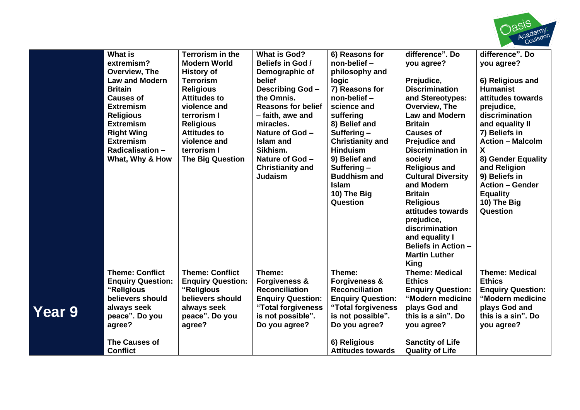

|        | <b>What is</b><br>extremism?<br>Overview, The<br><b>Law and Modern</b><br><b>Britain</b><br><b>Causes of</b><br><b>Extremism</b><br><b>Religious</b><br><b>Extremism</b><br><b>Right Wing</b><br><b>Extremism</b><br><b>Radicalisation -</b><br>What, Why & How | Terrorism in the<br><b>Modern World</b><br><b>History of</b><br><b>Terrorism</b><br><b>Religious</b><br><b>Attitudes to</b><br>violence and<br>terrorism I<br><b>Religious</b><br><b>Attitudes to</b><br>violence and<br>terrorism I<br><b>The Big Question</b> | <b>What is God?</b><br>Beliefs in God /<br>Demographic of<br>belief<br><b>Describing God-</b><br>the Omnis.<br><b>Reasons for belief</b><br>- faith, awe and<br>miracles.<br>Nature of God -<br>Islam and<br>Sikhism.<br>Nature of God -<br><b>Christianity and</b><br><b>Judaism</b> | 6) Reasons for<br>non-belief -<br>philosophy and<br>logic<br>7) Reasons for<br>non-belief -<br>science and<br>suffering<br>8) Belief and<br>Suffering $-$<br><b>Christianity and</b><br><b>Hinduism</b><br>9) Belief and<br>Suffering $-$<br><b>Buddhism and</b><br><b>Islam</b><br>10) The Big<br>Question | difference". Do<br>you agree?<br>Prejudice,<br><b>Discrimination</b><br>and Stereotypes:<br>Overview, The<br><b>Law and Modern</b><br><b>Britain</b><br><b>Causes of</b><br><b>Prejudice and</b><br><b>Discrimination in</b><br>society<br><b>Religious and</b><br><b>Cultural Diversity</b><br>and Modern<br><b>Britain</b><br><b>Religious</b><br>attitudes towards<br>prejudice,<br>discrimination<br>and equality I<br><b>Beliefs in Action -</b><br><b>Martin Luther</b><br>King | difference". Do<br>you agree?<br>6) Religious and<br><b>Humanist</b><br>attitudes towards<br>prejudice,<br>discrimination<br>and equality II<br>7) Beliefs in<br><b>Action - Malcolm</b><br>X<br>8) Gender Equality<br>and Religion<br>9) Beliefs in<br><b>Action - Gender</b><br><b>Equality</b><br>10) The Big<br>Question |
|--------|-----------------------------------------------------------------------------------------------------------------------------------------------------------------------------------------------------------------------------------------------------------------|-----------------------------------------------------------------------------------------------------------------------------------------------------------------------------------------------------------------------------------------------------------------|---------------------------------------------------------------------------------------------------------------------------------------------------------------------------------------------------------------------------------------------------------------------------------------|-------------------------------------------------------------------------------------------------------------------------------------------------------------------------------------------------------------------------------------------------------------------------------------------------------------|---------------------------------------------------------------------------------------------------------------------------------------------------------------------------------------------------------------------------------------------------------------------------------------------------------------------------------------------------------------------------------------------------------------------------------------------------------------------------------------|------------------------------------------------------------------------------------------------------------------------------------------------------------------------------------------------------------------------------------------------------------------------------------------------------------------------------|
| Year 9 | <b>Theme: Conflict</b><br><b>Enquiry Question:</b><br>"Religious<br>believers should<br>always seek<br>peace". Do you<br>agree?<br><b>The Causes of</b><br><b>Conflict</b>                                                                                      | <b>Theme: Conflict</b><br><b>Enquiry Question:</b><br>"Religious<br>believers should<br>always seek<br>peace". Do you<br>agree?                                                                                                                                 | Theme:<br><b>Forgiveness &amp;</b><br><b>Reconciliation</b><br><b>Enquiry Question:</b><br>"Total forgiveness<br>is not possible".<br>Do you agree?                                                                                                                                   | Theme:<br><b>Forgiveness &amp;</b><br><b>Reconciliation</b><br><b>Enquiry Question:</b><br>"Total forgiveness<br>is not possible".<br>Do you agree?<br>6) Religious<br><b>Attitudes towards</b>                                                                                                             | <b>Theme: Medical</b><br><b>Ethics</b><br><b>Enquiry Question:</b><br>"Modern medicine<br>plays God and<br>this is a sin". Do<br>you agree?<br><b>Sanctity of Life</b><br><b>Quality of Life</b>                                                                                                                                                                                                                                                                                      | <b>Theme: Medical</b><br><b>Ethics</b><br><b>Enquiry Question:</b><br>"Modern medicine<br>plays God and<br>this is a sin". Do<br>you agree?                                                                                                                                                                                  |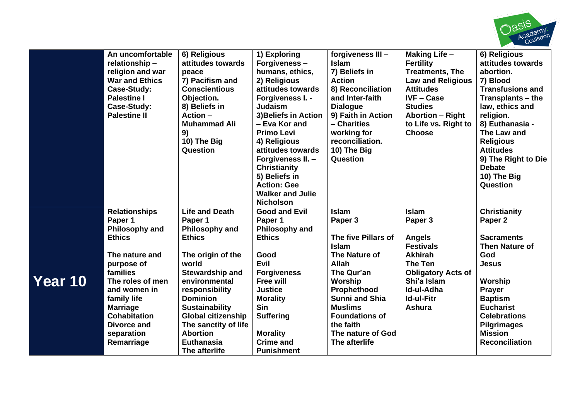

|         | An uncomfortable<br>relationship-<br>religion and war<br><b>War and Ethics</b><br>Case-Study:<br><b>Palestine I</b><br>Case-Study:<br><b>Palestine II</b>                        | 6) Religious<br>attitudes towards<br>peace<br>7) Pacifism and<br><b>Conscientious</b><br>Objection.<br>8) Beliefs in<br>$Action -$<br><b>Muhammad Ali</b><br>9)<br>10) The Big<br>Question                                                 | 1) Exploring<br>Forgiveness-<br>humans, ethics,<br>2) Religious<br>attitudes towards<br>Forgiveness I. -<br><b>Judaism</b><br>3) Beliefs in Action<br>- Eva Kor and<br><b>Primo Levi</b><br>4) Religious<br>attitudes towards<br>Forgiveness II. -<br><b>Christianity</b><br>5) Beliefs in<br><b>Action: Gee</b> | forgiveness III -<br><b>Islam</b><br>7) Beliefs in<br><b>Action</b><br>8) Reconciliation<br>and Inter-faith<br><b>Dialogue</b><br>9) Faith in Action<br>- Charities<br>working for<br>reconciliation.<br>10) The Big<br>Question | <b>Making Life -</b><br><b>Fertility</b><br><b>Treatments, The</b><br><b>Law and Religious</b><br><b>Attitudes</b><br><b>IVF-Case</b><br><b>Studies</b><br><b>Abortion - Right</b><br>to Life vs. Right to<br><b>Choose</b> | 6) Religious<br>attitudes towards<br>abortion.<br>7) Blood<br><b>Transfusions and</b><br>Transplants – the<br>law, ethics and<br>religion.<br>8) Euthanasia -<br>The Law and<br><b>Religious</b><br><b>Attitudes</b><br>9) The Right to Die<br><b>Debate</b><br>10) The Big<br>Question |
|---------|----------------------------------------------------------------------------------------------------------------------------------------------------------------------------------|--------------------------------------------------------------------------------------------------------------------------------------------------------------------------------------------------------------------------------------------|------------------------------------------------------------------------------------------------------------------------------------------------------------------------------------------------------------------------------------------------------------------------------------------------------------------|----------------------------------------------------------------------------------------------------------------------------------------------------------------------------------------------------------------------------------|-----------------------------------------------------------------------------------------------------------------------------------------------------------------------------------------------------------------------------|-----------------------------------------------------------------------------------------------------------------------------------------------------------------------------------------------------------------------------------------------------------------------------------------|
|         |                                                                                                                                                                                  |                                                                                                                                                                                                                                            | <b>Walker and Julie</b><br><b>Nicholson</b>                                                                                                                                                                                                                                                                      |                                                                                                                                                                                                                                  |                                                                                                                                                                                                                             |                                                                                                                                                                                                                                                                                         |
|         | <b>Relationships</b><br>Paper 1<br>Philosophy and<br><b>Ethics</b>                                                                                                               | <b>Life and Death</b><br>Paper 1<br>Philosophy and<br><b>Ethics</b>                                                                                                                                                                        | <b>Good and Evil</b><br>Paper 1<br>Philosophy and<br><b>Ethics</b>                                                                                                                                                                                                                                               | <b>Islam</b><br>Paper 3<br>The five Pillars of<br><b>Islam</b>                                                                                                                                                                   | <b>Islam</b><br>Paper 3<br><b>Angels</b><br><b>Festivals</b>                                                                                                                                                                | <b>Christianity</b><br>Paper <sub>2</sub><br><b>Sacraments</b><br><b>Then Nature of</b>                                                                                                                                                                                                 |
| Year 10 | The nature and<br>purpose of<br>families<br>The roles of men<br>and women in<br>family life<br><b>Marriage</b><br><b>Cohabitation</b><br>Divorce and<br>separation<br>Remarriage | The origin of the<br>world<br>Stewardship and<br>environmental<br>responsibility<br><b>Dominion</b><br><b>Sustainability</b><br><b>Global citizenship</b><br>The sanctity of life<br><b>Abortion</b><br><b>Euthanasia</b><br>The afterlife | Good<br>Evil<br><b>Forgiveness</b><br><b>Free will</b><br><b>Justice</b><br><b>Morality</b><br><b>Sin</b><br><b>Suffering</b><br><b>Morality</b><br><b>Crime and</b><br><b>Punishment</b>                                                                                                                        | The Nature of<br>Allah<br>The Qur'an<br>Worship<br>Prophethood<br><b>Sunni and Shia</b><br><b>Muslims</b><br><b>Foundations of</b><br>the faith<br>The nature of God<br>The afterlife                                            | <b>Akhirah</b><br>The Ten<br><b>Obligatory Acts of</b><br>Shi'a Islam<br>Id-ul-Adha<br><b>Id-ul-Fitr</b><br>Ashura                                                                                                          | God<br><b>Jesus</b><br>Worship<br><b>Prayer</b><br><b>Baptism</b><br><b>Eucharist</b><br><b>Celebrations</b><br><b>Pilgrimages</b><br><b>Mission</b><br><b>Reconciliation</b>                                                                                                           |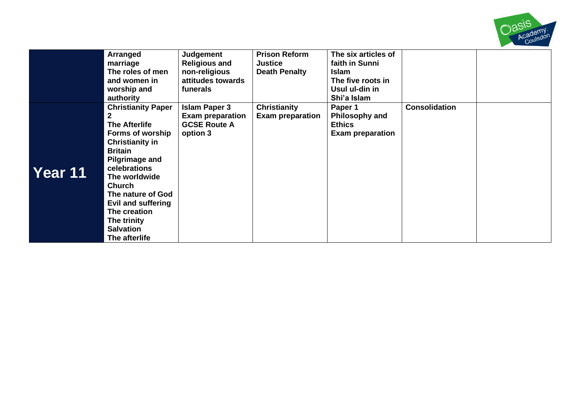

|         | Arranged<br>marriage<br>The roles of men<br>and women in<br>worship and<br>authority                                                                                                                                                                                                                      | Judgement<br><b>Religious and</b><br>non-religious<br>attitudes towards<br>funerals | <b>Prison Reform</b><br><b>Justice</b><br><b>Death Penalty</b> | The six articles of<br>faith in Sunni<br><b>Islam</b><br>The five roots in<br>Usul ul-din in<br>Shi'a Islam |                      |  |
|---------|-----------------------------------------------------------------------------------------------------------------------------------------------------------------------------------------------------------------------------------------------------------------------------------------------------------|-------------------------------------------------------------------------------------|----------------------------------------------------------------|-------------------------------------------------------------------------------------------------------------|----------------------|--|
| Year 11 | <b>Christianity Paper</b><br>2<br><b>The Afterlife</b><br>Forms of worship<br><b>Christianity in</b><br><b>Britain</b><br>Pilgrimage and<br>celebrations<br>The worldwide<br><b>Church</b><br>The nature of God<br>Evil and suffering<br>The creation<br>The trinity<br><b>Salvation</b><br>The afterlife | <b>Islam Paper 3</b><br><b>Exam preparation</b><br><b>GCSE Route A</b><br>option 3  | <b>Christianity</b><br><b>Exam preparation</b>                 | Paper 1<br><b>Philosophy and</b><br><b>Ethics</b><br><b>Exam preparation</b>                                | <b>Consolidation</b> |  |